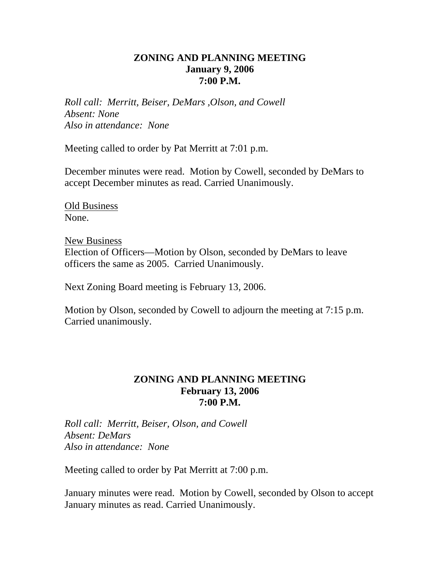## **ZONING AND PLANNING MEETING January 9, 2006 7:00 P.M.**

*Roll call: Merritt, Beiser, DeMars ,Olson, and Cowell Absent: None Also in attendance: None* 

Meeting called to order by Pat Merritt at 7:01 p.m.

December minutes were read. Motion by Cowell, seconded by DeMars to accept December minutes as read. Carried Unanimously.

Old Business None.

New Business Election of Officers—Motion by Olson, seconded by DeMars to leave officers the same as 2005. Carried Unanimously.

Next Zoning Board meeting is February 13, 2006.

Motion by Olson, seconded by Cowell to adjourn the meeting at 7:15 p.m. Carried unanimously.

## **ZONING AND PLANNING MEETING February 13, 2006 7:00 P.M.**

*Roll call: Merritt, Beiser, Olson, and Cowell Absent: DeMars Also in attendance: None* 

Meeting called to order by Pat Merritt at 7:00 p.m.

January minutes were read. Motion by Cowell, seconded by Olson to accept January minutes as read. Carried Unanimously.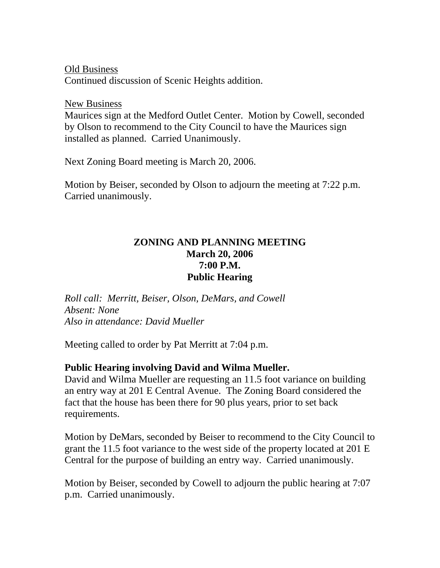Old Business Continued discussion of Scenic Heights addition.

New Business

Maurices sign at the Medford Outlet Center. Motion by Cowell, seconded by Olson to recommend to the City Council to have the Maurices sign installed as planned. Carried Unanimously.

Next Zoning Board meeting is March 20, 2006.

Motion by Beiser, seconded by Olson to adjourn the meeting at 7:22 p.m. Carried unanimously.

## **ZONING AND PLANNING MEETING March 20, 2006 7:00 P.M. Public Hearing**

*Roll call: Merritt, Beiser, Olson, DeMars, and Cowell Absent: None Also in attendance: David Mueller* 

Meeting called to order by Pat Merritt at 7:04 p.m.

# **Public Hearing involving David and Wilma Mueller.**

David and Wilma Mueller are requesting an 11.5 foot variance on building an entry way at 201 E Central Avenue. The Zoning Board considered the fact that the house has been there for 90 plus years, prior to set back requirements.

Motion by DeMars, seconded by Beiser to recommend to the City Council to grant the 11.5 foot variance to the west side of the property located at 201 E Central for the purpose of building an entry way. Carried unanimously.

Motion by Beiser, seconded by Cowell to adjourn the public hearing at 7:07 p.m. Carried unanimously.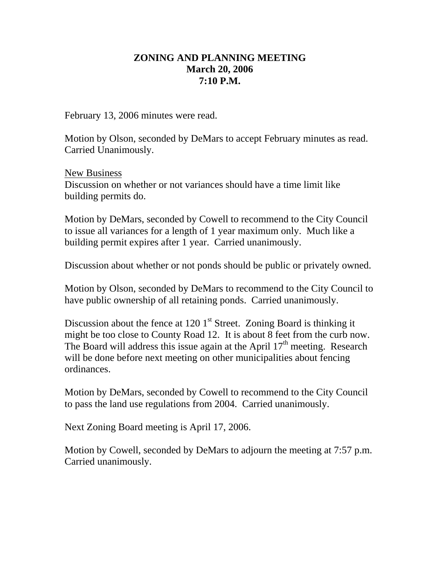## **ZONING AND PLANNING MEETING March 20, 2006 7:10 P.M.**

February 13, 2006 minutes were read.

Motion by Olson, seconded by DeMars to accept February minutes as read. Carried Unanimously.

New Business Discussion on whether or not variances should have a time limit like building permits do.

Motion by DeMars, seconded by Cowell to recommend to the City Council to issue all variances for a length of 1 year maximum only. Much like a building permit expires after 1 year. Carried unanimously.

Discussion about whether or not ponds should be public or privately owned.

Motion by Olson, seconded by DeMars to recommend to the City Council to have public ownership of all retaining ponds. Carried unanimously.

Discussion about the fence at 120  $1<sup>st</sup>$  Street. Zoning Board is thinking it might be too close to County Road 12. It is about 8 feet from the curb now. The Board will address this issue again at the April  $17<sup>th</sup>$  meeting. Research will be done before next meeting on other municipalities about fencing ordinances.

Motion by DeMars, seconded by Cowell to recommend to the City Council to pass the land use regulations from 2004. Carried unanimously.

Next Zoning Board meeting is April 17, 2006.

Motion by Cowell, seconded by DeMars to adjourn the meeting at 7:57 p.m. Carried unanimously.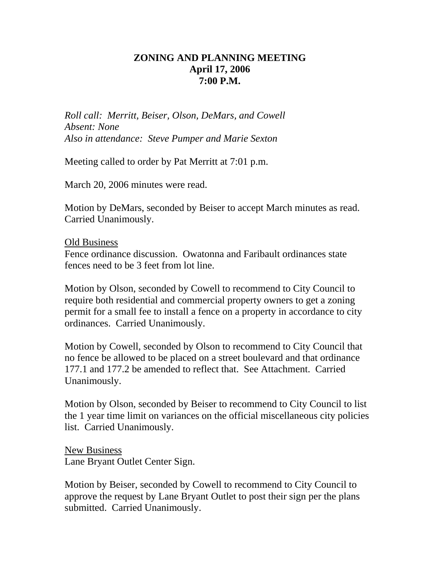## **ZONING AND PLANNING MEETING April 17, 2006 7:00 P.M.**

*Roll call: Merritt, Beiser, Olson, DeMars, and Cowell Absent: None Also in attendance: Steve Pumper and Marie Sexton* 

Meeting called to order by Pat Merritt at 7:01 p.m.

March 20, 2006 minutes were read.

Motion by DeMars, seconded by Beiser to accept March minutes as read. Carried Unanimously.

Old Business

Fence ordinance discussion. Owatonna and Faribault ordinances state fences need to be 3 feet from lot line.

Motion by Olson, seconded by Cowell to recommend to City Council to require both residential and commercial property owners to get a zoning permit for a small fee to install a fence on a property in accordance to city ordinances. Carried Unanimously.

Motion by Cowell, seconded by Olson to recommend to City Council that no fence be allowed to be placed on a street boulevard and that ordinance 177.1 and 177.2 be amended to reflect that. See Attachment. Carried Unanimously.

Motion by Olson, seconded by Beiser to recommend to City Council to list the 1 year time limit on variances on the official miscellaneous city policies list. Carried Unanimously.

New Business Lane Bryant Outlet Center Sign.

Motion by Beiser, seconded by Cowell to recommend to City Council to approve the request by Lane Bryant Outlet to post their sign per the plans submitted. Carried Unanimously.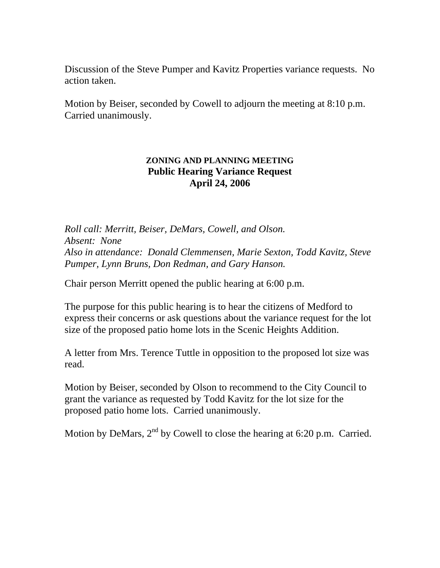Discussion of the Steve Pumper and Kavitz Properties variance requests. No action taken.

Motion by Beiser, seconded by Cowell to adjourn the meeting at 8:10 p.m. Carried unanimously.

#### **ZONING AND PLANNING MEETING Public Hearing Variance Request April 24, 2006**

*Roll call: Merritt, Beiser, DeMars, Cowell, and Olson. Absent: None Also in attendance: Donald Clemmensen, Marie Sexton, Todd Kavitz, Steve Pumper, Lynn Bruns, Don Redman, and Gary Hanson.* 

Chair person Merritt opened the public hearing at 6:00 p.m.

The purpose for this public hearing is to hear the citizens of Medford to express their concerns or ask questions about the variance request for the lot size of the proposed patio home lots in the Scenic Heights Addition.

A letter from Mrs. Terence Tuttle in opposition to the proposed lot size was read.

Motion by Beiser, seconded by Olson to recommend to the City Council to grant the variance as requested by Todd Kavitz for the lot size for the proposed patio home lots. Carried unanimously.

Motion by DeMars,  $2<sup>nd</sup>$  by Cowell to close the hearing at 6:20 p.m. Carried.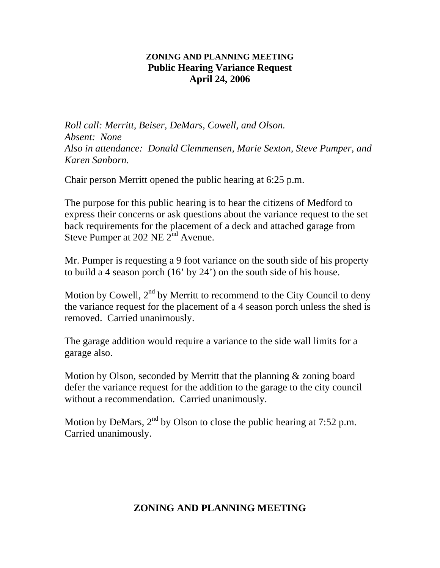#### **ZONING AND PLANNING MEETING Public Hearing Variance Request April 24, 2006**

*Roll call: Merritt, Beiser, DeMars, Cowell, and Olson. Absent: None Also in attendance: Donald Clemmensen, Marie Sexton, Steve Pumper, and Karen Sanborn.* 

Chair person Merritt opened the public hearing at 6:25 p.m.

The purpose for this public hearing is to hear the citizens of Medford to express their concerns or ask questions about the variance request to the set back requirements for the placement of a deck and attached garage from Steve Pumper at 202 NE 2<sup>nd</sup> Avenue.

Mr. Pumper is requesting a 9 foot variance on the south side of his property to build a 4 season porch (16' by 24') on the south side of his house.

Motion by Cowell,  $2<sup>nd</sup>$  by Merritt to recommend to the City Council to deny the variance request for the placement of a 4 season porch unless the shed is removed. Carried unanimously.

The garage addition would require a variance to the side wall limits for a garage also.

Motion by Olson, seconded by Merritt that the planning & zoning board defer the variance request for the addition to the garage to the city council without a recommendation. Carried unanimously.

Motion by DeMars,  $2^{nd}$  by Olson to close the public hearing at 7:52 p.m. Carried unanimously.

# **ZONING AND PLANNING MEETING**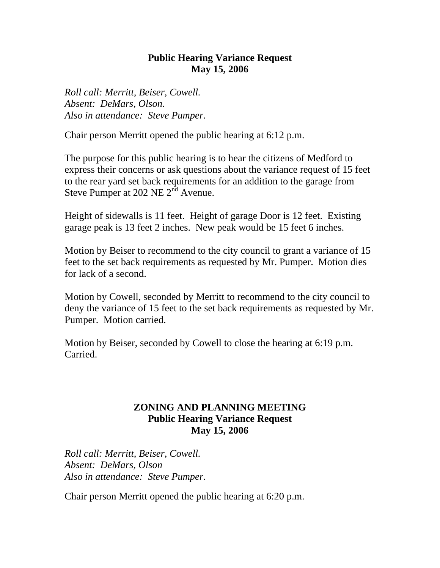## **Public Hearing Variance Request May 15, 2006**

*Roll call: Merritt, Beiser, Cowell. Absent: DeMars, Olson. Also in attendance: Steve Pumper.* 

Chair person Merritt opened the public hearing at 6:12 p.m.

The purpose for this public hearing is to hear the citizens of Medford to express their concerns or ask questions about the variance request of 15 feet to the rear yard set back requirements for an addition to the garage from Steve Pumper at 202 NE 2<sup>nd</sup> Avenue.

Height of sidewalls is 11 feet. Height of garage Door is 12 feet. Existing garage peak is 13 feet 2 inches. New peak would be 15 feet 6 inches.

Motion by Beiser to recommend to the city council to grant a variance of 15 feet to the set back requirements as requested by Mr. Pumper. Motion dies for lack of a second.

Motion by Cowell, seconded by Merritt to recommend to the city council to deny the variance of 15 feet to the set back requirements as requested by Mr. Pumper. Motion carried.

Motion by Beiser, seconded by Cowell to close the hearing at 6:19 p.m. Carried.

# **ZONING AND PLANNING MEETING Public Hearing Variance Request May 15, 2006**

*Roll call: Merritt, Beiser, Cowell. Absent: DeMars, Olson Also in attendance: Steve Pumper.* 

Chair person Merritt opened the public hearing at 6:20 p.m.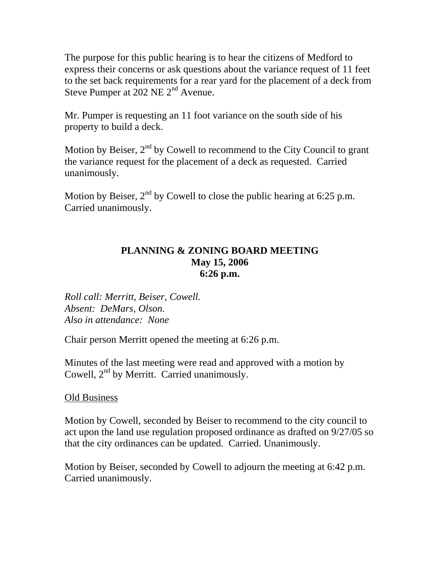The purpose for this public hearing is to hear the citizens of Medford to express their concerns or ask questions about the variance request of 11 feet to the set back requirements for a rear yard for the placement of a deck from Steve Pumper at 202 NE 2<sup>nd</sup> Avenue.

Mr. Pumper is requesting an 11 foot variance on the south side of his property to build a deck.

Motion by Beiser,  $2<sup>nd</sup>$  by Cowell to recommend to the City Council to grant the variance request for the placement of a deck as requested. Carried unanimously.

Motion by Beiser,  $2^{nd}$  by Cowell to close the public hearing at 6:25 p.m. Carried unanimously.

### **PLANNING & ZONING BOARD MEETING May 15, 2006 6:26 p.m.**

*Roll call: Merritt, Beiser, Cowell. Absent: DeMars, Olson. Also in attendance: None* 

Chair person Merritt opened the meeting at 6:26 p.m.

Minutes of the last meeting were read and approved with a motion by Cowell, 2<sup>nd</sup> by Merritt. Carried unanimously.

#### Old Business

Motion by Cowell, seconded by Beiser to recommend to the city council to act upon the land use regulation proposed ordinance as drafted on 9/27/05 so that the city ordinances can be updated. Carried. Unanimously.

Motion by Beiser, seconded by Cowell to adjourn the meeting at 6:42 p.m. Carried unanimously.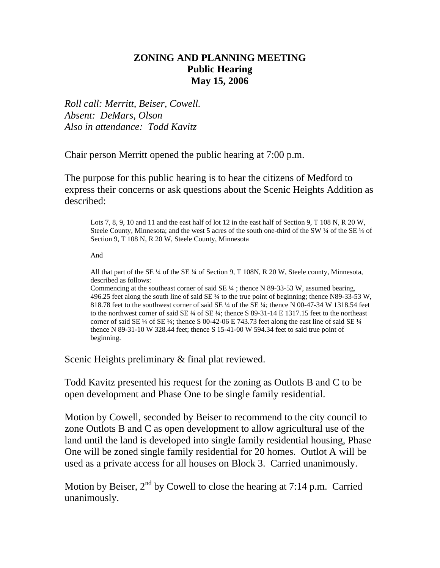## **ZONING AND PLANNING MEETING Public Hearing May 15, 2006**

*Roll call: Merritt, Beiser, Cowell. Absent: DeMars, Olson Also in attendance: Todd Kavitz* 

Chair person Merritt opened the public hearing at 7:00 p.m.

The purpose for this public hearing is to hear the citizens of Medford to express their concerns or ask questions about the Scenic Heights Addition as described:

Lots 7, 8, 9, 10 and 11 and the east half of lot 12 in the east half of Section 9, T 108 N, R 20 W, Steele County, Minnesota; and the west 5 acres of the south one-third of the SW ¼ of the SE ¼ of Section 9, T 108 N, R 20 W, Steele County, Minnesota

And

All that part of the SE ¼ of the SE ¼ of Section 9, T 108N, R 20 W, Steele county, Minnesota, described as follows:

Commencing at the southeast corner of said SE  $\frac{1}{4}$ ; thence N 89-33-53 W, assumed bearing, 496.25 feet along the south line of said SE ¼ to the true point of beginning; thence N89-33-53 W, 818.78 feet to the southwest corner of said SE ¼ of the SE ¼; thence N 00-47-34 W 1318.54 feet to the northwest corner of said SE ¼ of SE ¼; thence S 89-31-14 E 1317.15 feet to the northeast corner of said SE ¼ of SE ¼; thence S 00-42-06 E 743.73 feet along the east line of said SE ¼ thence N 89-31-10 W 328.44 feet; thence S 15-41-00 W 594.34 feet to said true point of beginning.

Scenic Heights preliminary  $\&$  final plat reviewed.

Todd Kavitz presented his request for the zoning as Outlots B and C to be open development and Phase One to be single family residential.

Motion by Cowell, seconded by Beiser to recommend to the city council to zone Outlots B and C as open development to allow agricultural use of the land until the land is developed into single family residential housing, Phase One will be zoned single family residential for 20 homes. Outlot A will be used as a private access for all houses on Block 3. Carried unanimously.

Motion by Beiser,  $2<sup>nd</sup>$  by Cowell to close the hearing at 7:14 p.m. Carried unanimously.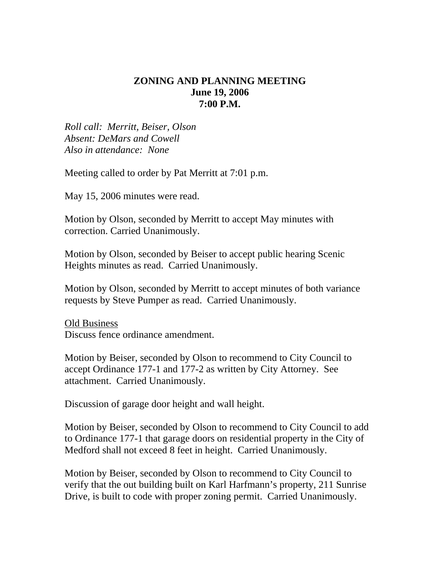## **ZONING AND PLANNING MEETING June 19, 2006 7:00 P.M.**

*Roll call: Merritt, Beiser, Olson Absent: DeMars and Cowell Also in attendance: None* 

Meeting called to order by Pat Merritt at 7:01 p.m.

May 15, 2006 minutes were read.

Motion by Olson, seconded by Merritt to accept May minutes with correction. Carried Unanimously.

Motion by Olson, seconded by Beiser to accept public hearing Scenic Heights minutes as read. Carried Unanimously.

Motion by Olson, seconded by Merritt to accept minutes of both variance requests by Steve Pumper as read. Carried Unanimously.

Old Business Discuss fence ordinance amendment.

Motion by Beiser, seconded by Olson to recommend to City Council to accept Ordinance 177-1 and 177-2 as written by City Attorney. See attachment. Carried Unanimously.

Discussion of garage door height and wall height.

Motion by Beiser, seconded by Olson to recommend to City Council to add to Ordinance 177-1 that garage doors on residential property in the City of Medford shall not exceed 8 feet in height. Carried Unanimously.

Motion by Beiser, seconded by Olson to recommend to City Council to verify that the out building built on Karl Harfmann's property, 211 Sunrise Drive, is built to code with proper zoning permit. Carried Unanimously.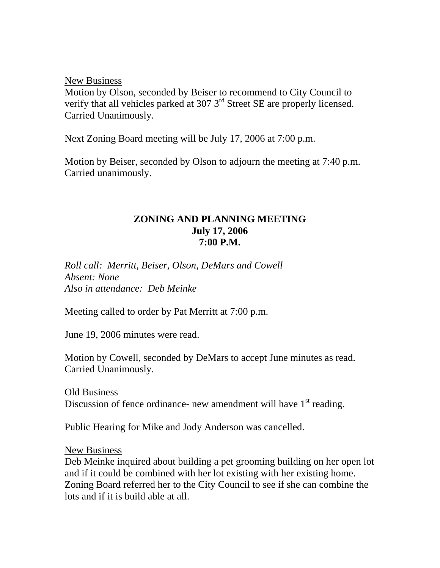New Business

Motion by Olson, seconded by Beiser to recommend to City Council to verify that all vehicles parked at 307 3<sup>rd</sup> Street SE are properly licensed. Carried Unanimously.

Next Zoning Board meeting will be July 17, 2006 at 7:00 p.m.

Motion by Beiser, seconded by Olson to adjourn the meeting at 7:40 p.m. Carried unanimously.

### **ZONING AND PLANNING MEETING July 17, 2006 7:00 P.M.**

*Roll call: Merritt, Beiser, Olson, DeMars and Cowell Absent: None Also in attendance: Deb Meinke* 

Meeting called to order by Pat Merritt at 7:00 p.m.

June 19, 2006 minutes were read.

Motion by Cowell, seconded by DeMars to accept June minutes as read. Carried Unanimously.

Old Business Discussion of fence ordinance- new amendment will have  $1<sup>st</sup>$  reading.

Public Hearing for Mike and Jody Anderson was cancelled.

New Business

Deb Meinke inquired about building a pet grooming building on her open lot and if it could be combined with her lot existing with her existing home. Zoning Board referred her to the City Council to see if she can combine the lots and if it is build able at all.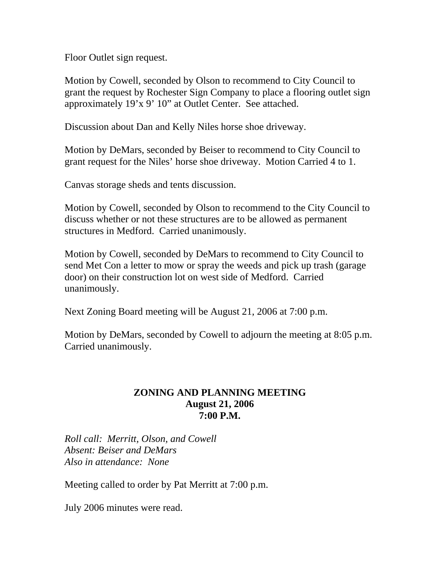Floor Outlet sign request.

Motion by Cowell, seconded by Olson to recommend to City Council to grant the request by Rochester Sign Company to place a flooring outlet sign approximately 19'x 9' 10" at Outlet Center. See attached.

Discussion about Dan and Kelly Niles horse shoe driveway.

Motion by DeMars, seconded by Beiser to recommend to City Council to grant request for the Niles' horse shoe driveway. Motion Carried 4 to 1.

Canvas storage sheds and tents discussion.

Motion by Cowell, seconded by Olson to recommend to the City Council to discuss whether or not these structures are to be allowed as permanent structures in Medford. Carried unanimously.

Motion by Cowell, seconded by DeMars to recommend to City Council to send Met Con a letter to mow or spray the weeds and pick up trash (garage door) on their construction lot on west side of Medford. Carried unanimously.

Next Zoning Board meeting will be August 21, 2006 at 7:00 p.m.

Motion by DeMars, seconded by Cowell to adjourn the meeting at 8:05 p.m. Carried unanimously.

## **ZONING AND PLANNING MEETING August 21, 2006 7:00 P.M.**

*Roll call: Merritt, Olson, and Cowell Absent: Beiser and DeMars Also in attendance: None* 

Meeting called to order by Pat Merritt at 7:00 p.m.

July 2006 minutes were read.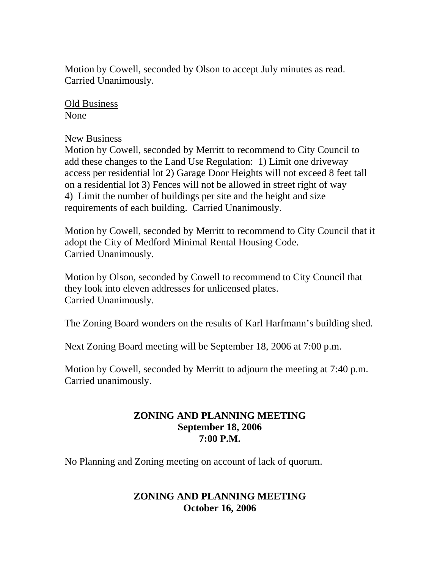Motion by Cowell, seconded by Olson to accept July minutes as read. Carried Unanimously.

Old Business None

#### New Business

Motion by Cowell, seconded by Merritt to recommend to City Council to add these changes to the Land Use Regulation: 1) Limit one driveway access per residential lot 2) Garage Door Heights will not exceed 8 feet tall on a residential lot 3) Fences will not be allowed in street right of way 4) Limit the number of buildings per site and the height and size requirements of each building. Carried Unanimously.

Motion by Cowell, seconded by Merritt to recommend to City Council that it adopt the City of Medford Minimal Rental Housing Code. Carried Unanimously.

Motion by Olson, seconded by Cowell to recommend to City Council that they look into eleven addresses for unlicensed plates. Carried Unanimously.

The Zoning Board wonders on the results of Karl Harfmann's building shed.

Next Zoning Board meeting will be September 18, 2006 at 7:00 p.m.

Motion by Cowell, seconded by Merritt to adjourn the meeting at 7:40 p.m. Carried unanimously.

## **ZONING AND PLANNING MEETING September 18, 2006 7:00 P.M.**

No Planning and Zoning meeting on account of lack of quorum.

# **ZONING AND PLANNING MEETING October 16, 2006**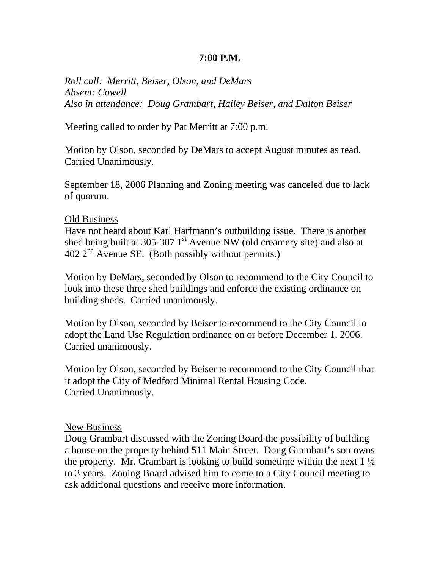#### **7:00 P.M.**

*Roll call: Merritt, Beiser, Olson, and DeMars Absent: Cowell Also in attendance: Doug Grambart, Hailey Beiser, and Dalton Beiser* 

Meeting called to order by Pat Merritt at 7:00 p.m.

Motion by Olson, seconded by DeMars to accept August minutes as read. Carried Unanimously.

September 18, 2006 Planning and Zoning meeting was canceled due to lack of quorum.

#### Old Business

Have not heard about Karl Harfmann's outbuilding issue. There is another shed being built at 305-307  $1<sup>st</sup>$  Avenue NW (old creamery site) and also at  $402 \, 2^{nd}$  Avenue SE. (Both possibly without permits.)

Motion by DeMars, seconded by Olson to recommend to the City Council to look into these three shed buildings and enforce the existing ordinance on building sheds. Carried unanimously.

Motion by Olson, seconded by Beiser to recommend to the City Council to adopt the Land Use Regulation ordinance on or before December 1, 2006. Carried unanimously.

Motion by Olson, seconded by Beiser to recommend to the City Council that it adopt the City of Medford Minimal Rental Housing Code. Carried Unanimously.

### New Business

Doug Grambart discussed with the Zoning Board the possibility of building a house on the property behind 511 Main Street. Doug Grambart's son owns the property. Mr. Grambart is looking to build sometime within the next  $1\frac{1}{2}$ to 3 years. Zoning Board advised him to come to a City Council meeting to ask additional questions and receive more information.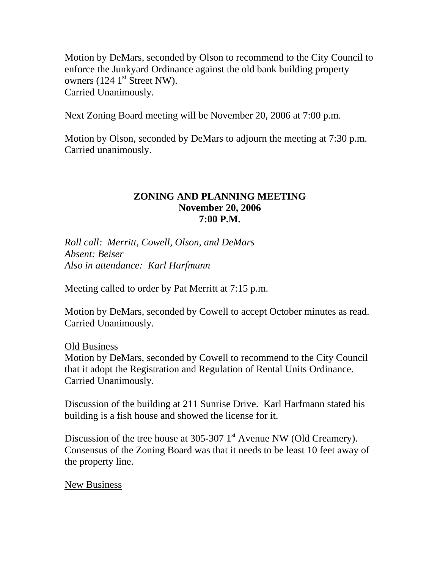Motion by DeMars, seconded by Olson to recommend to the City Council to enforce the Junkyard Ordinance against the old bank building property owners  $(124 \, 1^{\text{st}} \, \text{Street } \, \text{NW})$ . Carried Unanimously.

Next Zoning Board meeting will be November 20, 2006 at 7:00 p.m.

Motion by Olson, seconded by DeMars to adjourn the meeting at 7:30 p.m. Carried unanimously.

#### **ZONING AND PLANNING MEETING November 20, 2006 7:00 P.M.**

*Roll call: Merritt, Cowell, Olson, and DeMars Absent: Beiser Also in attendance: Karl Harfmann* 

Meeting called to order by Pat Merritt at 7:15 p.m.

Motion by DeMars, seconded by Cowell to accept October minutes as read. Carried Unanimously.

#### Old Business

Motion by DeMars, seconded by Cowell to recommend to the City Council that it adopt the Registration and Regulation of Rental Units Ordinance. Carried Unanimously.

Discussion of the building at 211 Sunrise Drive. Karl Harfmann stated his building is a fish house and showed the license for it.

Discussion of the tree house at  $305-307$  1<sup>st</sup> Avenue NW (Old Creamery). Consensus of the Zoning Board was that it needs to be least 10 feet away of the property line.

### New Business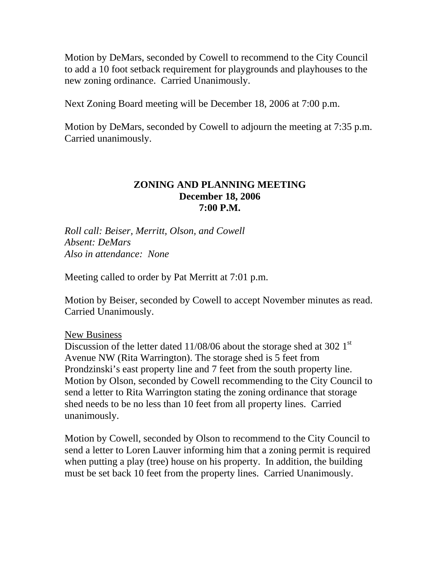Motion by DeMars, seconded by Cowell to recommend to the City Council to add a 10 foot setback requirement for playgrounds and playhouses to the new zoning ordinance. Carried Unanimously.

Next Zoning Board meeting will be December 18, 2006 at 7:00 p.m.

Motion by DeMars, seconded by Cowell to adjourn the meeting at 7:35 p.m. Carried unanimously.

### **ZONING AND PLANNING MEETING December 18, 2006 7:00 P.M.**

*Roll call: Beiser, Merritt, Olson, and Cowell Absent: DeMars Also in attendance: None* 

Meeting called to order by Pat Merritt at 7:01 p.m.

Motion by Beiser, seconded by Cowell to accept November minutes as read. Carried Unanimously.

New Business

Discussion of the letter dated  $11/08/06$  about the storage shed at 302 1<sup>st</sup> Avenue NW (Rita Warrington). The storage shed is 5 feet from Prondzinski's east property line and 7 feet from the south property line. Motion by Olson, seconded by Cowell recommending to the City Council to send a letter to Rita Warrington stating the zoning ordinance that storage shed needs to be no less than 10 feet from all property lines. Carried unanimously.

Motion by Cowell, seconded by Olson to recommend to the City Council to send a letter to Loren Lauver informing him that a zoning permit is required when putting a play (tree) house on his property. In addition, the building must be set back 10 feet from the property lines. Carried Unanimously.